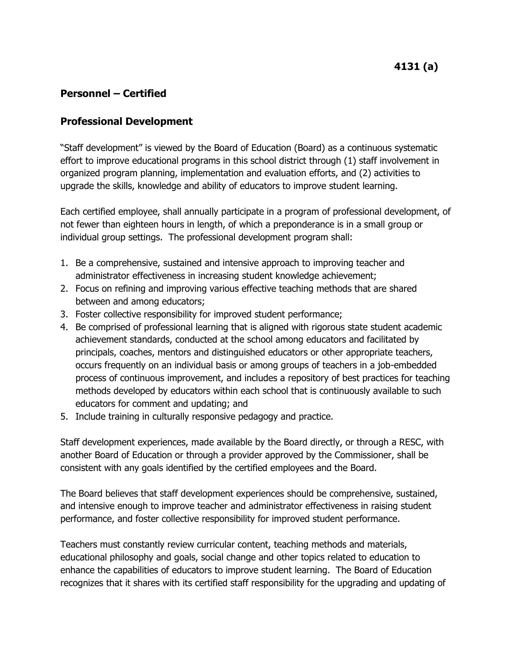## **Professional Development**

"Staff development" is viewed by the Board of Education (Board) as a continuous systematic effort to improve educational programs in this school district through (1) staff involvement in organized program planning, implementation and evaluation efforts, and (2) activities to upgrade the skills, knowledge and ability of educators to improve student learning.

Each certified employee, shall annually participate in a program of professional development, of not fewer than eighteen hours in length, of which a preponderance is in a small group or individual group settings. The professional development program shall:

- 1. Be a comprehensive, sustained and intensive approach to improving teacher and administrator effectiveness in increasing student knowledge achievement;
- 2. Focus on refining and improving various effective teaching methods that are shared between and among educators;
- 3. Foster collective responsibility for improved student performance;
- 4. Be comprised of professional learning that is aligned with rigorous state student academic achievement standards, conducted at the school among educators and facilitated by principals, coaches, mentors and distinguished educators or other appropriate teachers, occurs frequently on an individual basis or among groups of teachers in a job-embedded process of continuous improvement, and includes a repository of best practices for teaching methods developed by educators within each school that is continuously available to such educators for comment and updating; and
- 5. Include training in culturally responsive pedagogy and practice.

Staff development experiences, made available by the Board directly, or through a RESC, with another Board of Education or through a provider approved by the Commissioner, shall be consistent with any goals identified by the certified employees and the Board.

The Board believes that staff development experiences should be comprehensive, sustained, and intensive enough to improve teacher and administrator effectiveness in raising student performance, and foster collective responsibility for improved student performance.

Teachers must constantly review curricular content, teaching methods and materials, educational philosophy and goals, social change and other topics related to education to enhance the capabilities of educators to improve student learning. The Board of Education recognizes that it shares with its certified staff responsibility for the upgrading and updating of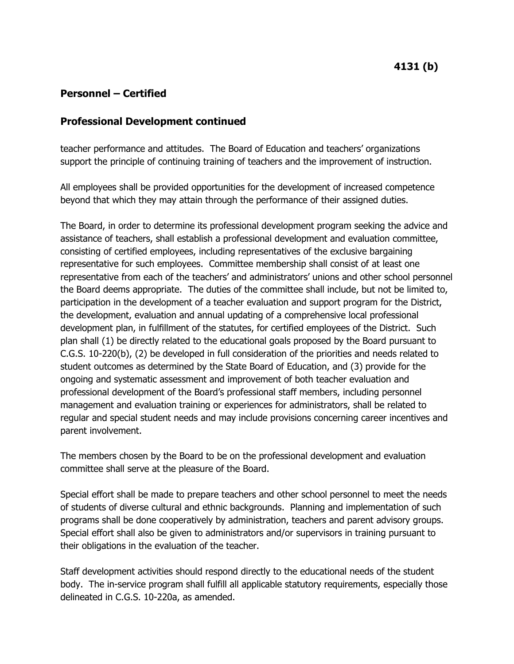#### **Professional Development continued**

teacher performance and attitudes. The Board of Education and teachers' organizations support the principle of continuing training of teachers and the improvement of instruction.

All employees shall be provided opportunities for the development of increased competence beyond that which they may attain through the performance of their assigned duties.

The Board, in order to determine its professional development program seeking the advice and assistance of teachers, shall establish a professional development and evaluation committee, consisting of certified employees, including representatives of the exclusive bargaining representative for such employees. Committee membership shall consist of at least one representative from each of the teachers' and administrators' unions and other school personnel the Board deems appropriate. The duties of the committee shall include, but not be limited to, participation in the development of a teacher evaluation and support program for the District, the development, evaluation and annual updating of a comprehensive local professional development plan, in fulfillment of the statutes, for certified employees of the District. Such plan shall (1) be directly related to the educational goals proposed by the Board pursuant to C.G.S. 10-220(b), (2) be developed in full consideration of the priorities and needs related to student outcomes as determined by the State Board of Education, and (3) provide for the ongoing and systematic assessment and improvement of both teacher evaluation and professional development of the Board's professional staff members, including personnel management and evaluation training or experiences for administrators, shall be related to regular and special student needs and may include provisions concerning career incentives and parent involvement.

The members chosen by the Board to be on the professional development and evaluation committee shall serve at the pleasure of the Board.

Special effort shall be made to prepare teachers and other school personnel to meet the needs of students of diverse cultural and ethnic backgrounds. Planning and implementation of such programs shall be done cooperatively by administration, teachers and parent advisory groups. Special effort shall also be given to administrators and/or supervisors in training pursuant to their obligations in the evaluation of the teacher.

Staff development activities should respond directly to the educational needs of the student body. The in-service program shall fulfill all applicable statutory requirements, especially those delineated in C.G.S. 10-220a, as amended.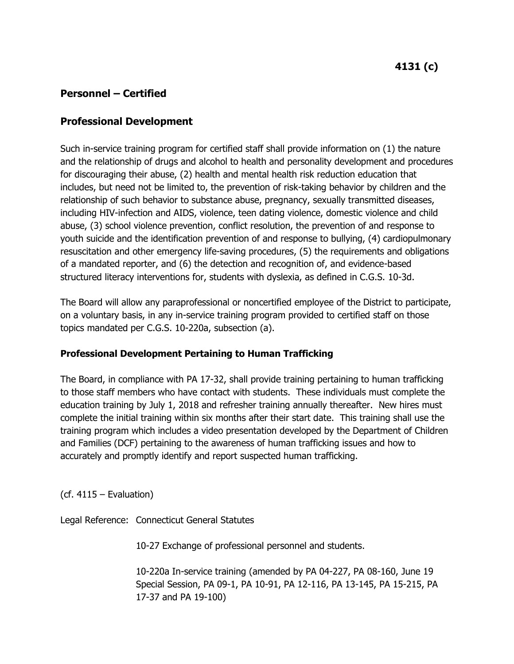## **Professional Development**

Such in-service training program for certified staff shall provide information on (1) the nature and the relationship of drugs and alcohol to health and personality development and procedures for discouraging their abuse, (2) health and mental health risk reduction education that includes, but need not be limited to, the prevention of risk-taking behavior by children and the relationship of such behavior to substance abuse, pregnancy, sexually transmitted diseases, including HIV-infection and AIDS, violence, teen dating violence, domestic violence and child abuse, (3) school violence prevention, conflict resolution, the prevention of and response to youth suicide and the identification prevention of and response to bullying, (4) cardiopulmonary resuscitation and other emergency life-saving procedures, (5) the requirements and obligations of a mandated reporter, and (6) the detection and recognition of, and evidence-based structured literacy interventions for, students with dyslexia, as defined in C.G.S. 10-3d.

The Board will allow any paraprofessional or noncertified employee of the District to participate, on a voluntary basis, in any in-service training program provided to certified staff on those topics mandated per C.G.S. 10-220a, subsection (a).

#### **Professional Development Pertaining to Human Trafficking**

The Board, in compliance with PA 17-32, shall provide training pertaining to human trafficking to those staff members who have contact with students. These individuals must complete the education training by July 1, 2018 and refresher training annually thereafter. New hires must complete the initial training within six months after their start date. This training shall use the training program which includes a video presentation developed by the Department of Children and Families (DCF) pertaining to the awareness of human trafficking issues and how to accurately and promptly identify and report suspected human trafficking.

 $(cf. 4115 - Evaluation)$ 

Legal Reference: Connecticut General Statutes

10-27 Exchange of professional personnel and students.

10-220a In-service training (amended by PA 04-227, PA 08-160, June 19 Special Session, PA 09-1, PA 10-91, PA 12-116, PA 13-145, PA 15-215, PA 17-37 and PA 19-100)